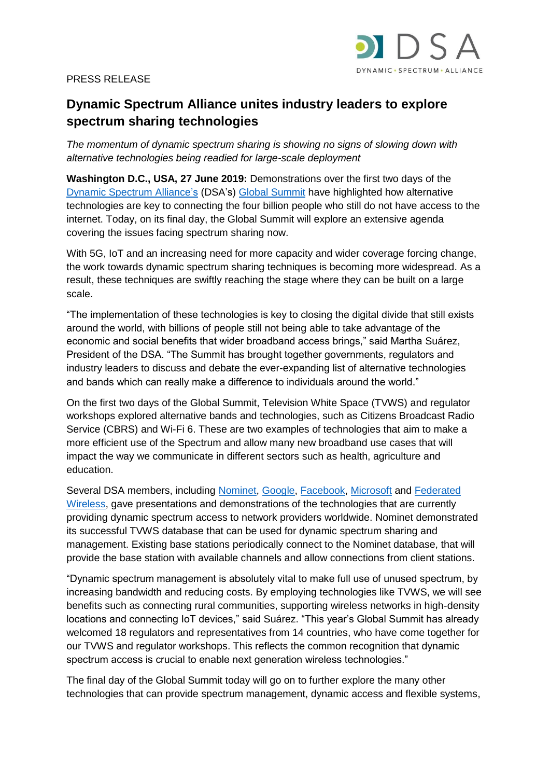

## PRESS RELEASE

# **Dynamic Spectrum Alliance unites industry leaders to explore spectrum sharing technologies**

*The momentum of dynamic spectrum sharing is showing no signs of slowing down with alternative technologies being readied for large-scale deployment*

**Washington D.C., USA, 27 June 2019:** Demonstrations over the first two days of the [Dynamic Spectrum Alliance's](http://dynamicspectrumalliance.org/) (DSA's) [Global Summit](http://dynamicspectrumalliance.org/global-summit/) have highlighted how alternative technologies are key to connecting the four billion people who still do not have access to the internet. Today, on its final day, the Global Summit will explore an extensive agenda covering the issues facing spectrum sharing now.

With 5G, IoT and an increasing need for more capacity and wider coverage forcing change, the work towards dynamic spectrum sharing techniques is becoming more widespread. As a result, these techniques are swiftly reaching the stage where they can be built on a large scale.

"The implementation of these technologies is key to closing the digital divide that still exists around the world, with billions of people still not being able to take advantage of the economic and social benefits that wider broadband access brings," said Martha Suárez, President of the DSA. "The Summit has brought together governments, regulators and industry leaders to discuss and debate the ever-expanding list of alternative technologies and bands which can really make a difference to individuals around the world."

On the first two days of the Global Summit, Television White Space (TVWS) and regulator workshops explored alternative bands and technologies, such as Citizens Broadcast Radio Service (CBRS) and Wi-Fi 6. These are two examples of technologies that aim to make a more efficient use of the Spectrum and allow many new broadband use cases that will impact the way we communicate in different sectors such as health, agriculture and education.

Several DSA members, including [Nominet,](https://www.nominet.uk/) [Google,](https://www.google.com/) [Facebook,](https://www.facebook.com/) [Microsoft](https://www.microsoft.com/en-gb) and [Federated](https://www.federatedwireless.com/)  [Wireless,](https://www.federatedwireless.com/) gave presentations and demonstrations of the technologies that are currently providing dynamic spectrum access to network providers worldwide. Nominet demonstrated its successful TVWS database that can be used for dynamic spectrum sharing and management. Existing base stations periodically connect to the Nominet database, that will provide the base station with available channels and allow connections from client stations.

"Dynamic spectrum management is absolutely vital to make full use of unused spectrum, by increasing bandwidth and reducing costs. By employing technologies like TVWS, we will see benefits such as connecting rural communities, supporting wireless networks in high-density locations and connecting IoT devices," said Suárez. "This year's Global Summit has already welcomed 18 regulators and representatives from 14 countries, who have come together for our TVWS and regulator workshops. This reflects the common recognition that dynamic spectrum access is crucial to enable next generation wireless technologies."

The final day of the Global Summit today will go on to further explore the many other technologies that can provide spectrum management, dynamic access and flexible systems,